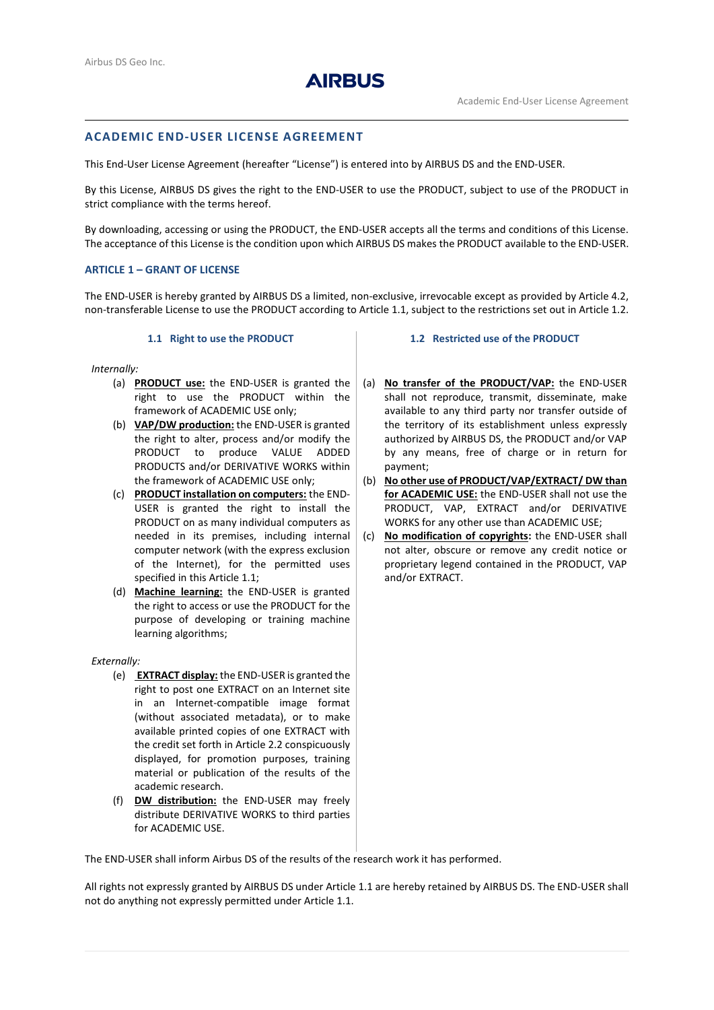

# **ACADEMIC END-USER LICENSE AGREEMENT**

This End-User License Agreement (hereafter "License") is entered into by AIRBUS DS and the END-USER.

By this License, AIRBUS DS gives the right to the END-USER to use the PRODUCT, subject to use of the PRODUCT in strict compliance with the terms hereof.

By downloading, accessing or using the PRODUCT, the END-USER accepts all the terms and conditions of this License. The acceptance of this License is the condition upon which AIRBUS DS makes the PRODUCT available to the END-USER.

# **ARTICLE 1 – GRANT OF LICENSE**

The END-USER is hereby granted by AIRBUS DS a limited, non-exclusive, irrevocable except as provided by Article [4.2,](#page-1-0) non-transferable License to use the PRODUCT according to Article [1.1,](#page-0-0) subject to the restrictions set out in Article 1.2.

## **1.1 Right to use the PRODUCT**

<span id="page-0-0"></span>*Internally:*

- (a) **PRODUCT use:** the END-USER is granted the right to use the PRODUCT within the framework of ACADEMIC USE only;
- (b) **VAP/DW production:** the END-USER is granted the right to alter, process and/or modify the PRODUCT to produce VALUE ADDED PRODUCTS and/or DERIVATIVE WORKS within the framework of ACADEMIC USE only;
- (c) **PRODUCT installation on computers:** the END-USER is granted the right to install the PRODUCT on as many individual computers as needed in its premises, including internal computer network (with the express exclusion of the Internet), for the permitted uses specified in this Articl[e 1.1;](#page-0-0)
- (d) **Machine learning:** the END-USER is granted the right to access or use the PRODUCT for the purpose of developing or training machine learning algorithms;

*Externally:*

- (e) **EXTRACT display:** the END-USER is granted the right to post one EXTRACT on an Internet site in an Internet-compatible image format (without associated metadata), or to make available printed copies of one EXTRACT with the credit set forth in Article 2.2 conspicuously displayed, for promotion purposes, training material or publication of the results of the academic research.
- (f) **DW distribution:** the END-USER may freely distribute DERIVATIVE WORKS to third parties for ACADEMIC USE.

## **1.2 Restricted use of the PRODUCT**

- (a) **No transfer of the PRODUCT/VAP:** the END-USER shall not reproduce, transmit, disseminate, make available to any third party nor transfer outside of the territory of its establishment unless expressly authorized by AIRBUS DS, the PRODUCT and/or VAP by any means, free of charge or in return for payment;
- (b) **No other use of PRODUCT/VAP/EXTRACT/ DW than for ACADEMIC USE:** the END-USER shall not use the PRODUCT, VAP, EXTRACT and/or DERIVATIVE WORKS for any other use than ACADEMIC USE;
- (c) **No modification of copyrights:** the END-USER shall not alter, obscure or remove any credit notice or proprietary legend contained in the PRODUCT, VAP and/or EXTRACT.

The END-USER shall inform Airbus DS of the results of the research work it has performed.

All rights not expressly granted by AIRBUS DS under Article [1.1](#page-0-0) are hereby retained by AIRBUS DS. The END-USER shall not do anything not expressly permitted under Article [1.1.](#page-0-0)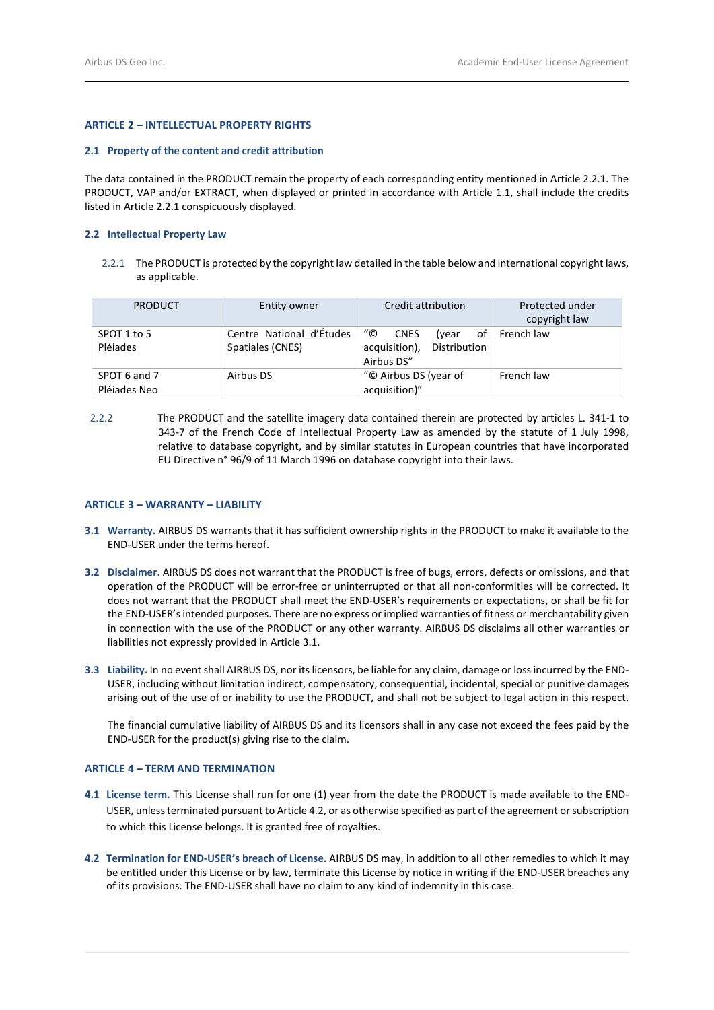# **ARTICLE 2 – INTELLECTUAL PROPERTY RIGHTS**

## **2.1 Property of the content and credit attribution**

The data contained in the PRODUCT remain the property of each corresponding entity mentioned in Article 2.2.1. The PRODUCT, VAP and/or EXTRACT, when displayed or printed in accordance with Article [1.1,](#page-0-0) shall include the credits listed in Article 2.2.1 conspicuously displayed.

#### **2.2 Intellectual Property Law**

2.2.1 The PRODUCT is protected by the copyright law detailed in the table below and international copyright laws, as applicable.

| <b>PRODUCT</b>               | Entity owner                                 | Credit attribution                                                       | Protected under<br>copyright law |
|------------------------------|----------------------------------------------|--------------------------------------------------------------------------|----------------------------------|
| SPOT 1 to 5<br>Pléiades      | Centre National d'Études<br>Spatiales (CNES) | "©<br>CNES<br>of<br>(vear<br>acquisition),<br>Distribution<br>Airbus DS" | French law                       |
| SPOT 6 and 7<br>Pléiades Neo | Airbus DS                                    | "© Airbus DS (year of<br>acquisition)"                                   | French law                       |

 2.2.2 The PRODUCT and the satellite imagery data contained therein are protected by articles L. 341-1 to 343-7 of the French Code of Intellectual Property Law as amended by the statute of 1 July 1998, relative to database copyright, and by similar statutes in European countries that have incorporated EU Directive n° 96/9 of 11 March 1996 on database copyright into their laws.

## **ARTICLE 3 – WARRANTY – LIABILITY**

- <span id="page-1-1"></span>**3.1 Warranty.** AIRBUS DS warrants that it has sufficient ownership rights in the PRODUCT to make it available to the END-USER under the terms hereof.
- **3.2 Disclaimer.** AIRBUS DS does not warrant that the PRODUCT is free of bugs, errors, defects or omissions, and that operation of the PRODUCT will be error-free or uninterrupted or that all non-conformities will be corrected. It does not warrant that the PRODUCT shall meet the END-USER's requirements or expectations, or shall be fit for the END-USER's intended purposes. There are no express or implied warranties of fitness or merchantability given in connection with the use of the PRODUCT or any other warranty. AIRBUS DS disclaims all other warranties or liabilities not expressly provided in Articl[e 3.1.](#page-1-1)
- **3.3 Liability.** In no event shall AIRBUS DS, nor its licensors, be liable for any claim, damage or loss incurred by the END-USER, including without limitation indirect, compensatory, consequential, incidental, special or punitive damages arising out of the use of or inability to use the PRODUCT, and shall not be subject to legal action in this respect.

The financial cumulative liability of AIRBUS DS and its licensors shall in any case not exceed the fees paid by the END-USER for the product(s) giving rise to the claim.

# **ARTICLE 4 – TERM AND TERMINATION**

- **4.1 License term.** This License shall run for one (1) year from the date the PRODUCT is made available to the END-USER, unless terminated pursuant to Articl[e 4.2,](#page-1-0) or as otherwise specified as part of the agreement or subscription to which this License belongs. It is granted free of royalties.
- <span id="page-1-0"></span>**4.2 Termination for END-USER's breach of License.** AIRBUS DS may, in addition to all other remedies to which it may be entitled under this License or by law, terminate this License by notice in writing if the END-USER breaches any of its provisions. The END-USER shall have no claim to any kind of indemnity in this case.